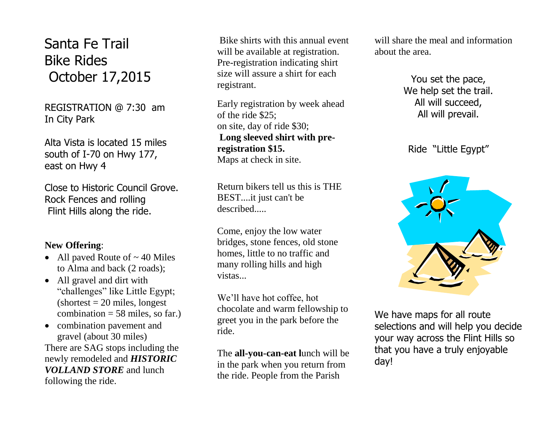Santa Fe Trail Bike Rides October 17,2015

REGISTRATION @ 7:30 am In City Park

Alta Vista is located 15 miles south of I-70 on Hwy 177, east on Hwy 4

Close to Historic Council Grove. Rock Fences and rolling Flint Hills along the ride.

## **New Offering**:

- All paved Route of  $\sim$  40 Miles to Alma and back (2 roads);
- All gravel and dirt with "challenges" like Little Egypt;  $\text{(shortest = 20 miles, longest)}$ combination  $= 58$  miles, so far.)
- combination pavement and gravel (about 30 miles) There are SAG stops including the newly remodeled and *HISTORIC VOLLAND STORE* and lunch following the ride.

Bike shirts with this annual event will be available at registration. Pre-registration indicating shirt size will assure a shirt for each registrant.

Early registration by week ahead of the ride \$25; on site, day of ride \$30; **Long sleeved shirt with preregistration \$15.**  Maps at check in site.

Return bikers tell us this is THE BEST....it just can't be described.....

Come, enjoy the low water bridges, stone fences, old stone homes, little to no traffic and many rolling hills and high vistas...

We'll have hot coffee, hot chocolate and warm fellowship to greet you in the park before the ride.

The **all-you-can-eat l**unch will be in the park when you return from the ride. People from the Parish

will share the meal and information about the area.

> You set the pace, We help set the trail. All will succeed, All will prevail.

Ride "Little Egypt"



We have maps for all route selections and will help you decide your way across the Flint Hills so that you have a truly enjoyable day!